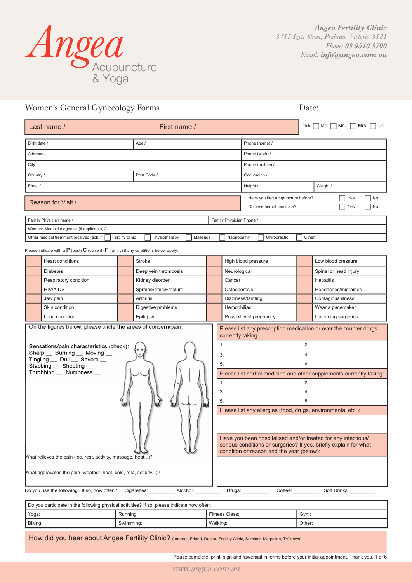

| Women's General Gynecology Forms                                                                                                                                                                                                                                                                                                                                       |                  |                                                                                                                     |                                  | Date:                    |                                                                                                           |                                  |                                                                                                                                                                                                                                                                                |  |  |
|------------------------------------------------------------------------------------------------------------------------------------------------------------------------------------------------------------------------------------------------------------------------------------------------------------------------------------------------------------------------|------------------|---------------------------------------------------------------------------------------------------------------------|----------------------------------|--------------------------|-----------------------------------------------------------------------------------------------------------|----------------------------------|--------------------------------------------------------------------------------------------------------------------------------------------------------------------------------------------------------------------------------------------------------------------------------|--|--|
| Last name /                                                                                                                                                                                                                                                                                                                                                            |                  | First name /                                                                                                        |                                  |                          |                                                                                                           |                                  | Tick: $\Box$ Mr. $\Box$ Ms. $\Box$ Mrs. $\Box$ Dr.                                                                                                                                                                                                                             |  |  |
| Birth date /                                                                                                                                                                                                                                                                                                                                                           |                  | Age /                                                                                                               |                                  |                          | Phone (home) /                                                                                            |                                  |                                                                                                                                                                                                                                                                                |  |  |
| Phone (work) /<br>Address /                                                                                                                                                                                                                                                                                                                                            |                  |                                                                                                                     |                                  |                          |                                                                                                           |                                  |                                                                                                                                                                                                                                                                                |  |  |
| City /                                                                                                                                                                                                                                                                                                                                                                 |                  |                                                                                                                     |                                  |                          | Phone (mobile) /                                                                                          |                                  |                                                                                                                                                                                                                                                                                |  |  |
| Country /                                                                                                                                                                                                                                                                                                                                                              |                  | Post Code /                                                                                                         |                                  |                          | Occupation /                                                                                              |                                  |                                                                                                                                                                                                                                                                                |  |  |
| Email /                                                                                                                                                                                                                                                                                                                                                                |                  |                                                                                                                     |                                  |                          | Weight /<br>Height /                                                                                      |                                  |                                                                                                                                                                                                                                                                                |  |  |
|                                                                                                                                                                                                                                                                                                                                                                        |                  |                                                                                                                     |                                  |                          |                                                                                                           |                                  |                                                                                                                                                                                                                                                                                |  |  |
| Reason for Visit /                                                                                                                                                                                                                                                                                                                                                     |                  | Have you had Acupuncture before?<br>$\overline{\phantom{a}}$ No<br>Yes<br>$ $ No<br>Chinese herbal medicine?<br>Yes |                                  |                          |                                                                                                           |                                  |                                                                                                                                                                                                                                                                                |  |  |
| Family Physician name /                                                                                                                                                                                                                                                                                                                                                |                  |                                                                                                                     |                                  | Family Physician Phone / |                                                                                                           |                                  |                                                                                                                                                                                                                                                                                |  |  |
| Western Medical diagnosis (if applicable) /                                                                                                                                                                                                                                                                                                                            |                  |                                                                                                                     |                                  |                          |                                                                                                           |                                  |                                                                                                                                                                                                                                                                                |  |  |
| Other medical treatment received (tick) /                                                                                                                                                                                                                                                                                                                              | Fertility clinic | Physiotherapy<br>Massage                                                                                            |                                  | Naturopathy              | Chiropractic                                                                                              | Other:                           |                                                                                                                                                                                                                                                                                |  |  |
| Please indicate with a $\bf{P}$ (past) $\bf{C}$ (current) $\bf{F}$ (family) if any conditions below apply:                                                                                                                                                                                                                                                             |                  |                                                                                                                     |                                  |                          |                                                                                                           |                                  |                                                                                                                                                                                                                                                                                |  |  |
| <b>Heart conditions</b>                                                                                                                                                                                                                                                                                                                                                |                  | Stroke                                                                                                              |                                  |                          | High blood pressure                                                                                       |                                  | Low blood pressure                                                                                                                                                                                                                                                             |  |  |
| <b>Diabetes</b>                                                                                                                                                                                                                                                                                                                                                        |                  | Deep vein thrombosis                                                                                                |                                  | Neurological             |                                                                                                           |                                  | Spinal or head injury                                                                                                                                                                                                                                                          |  |  |
| Respiratory condition                                                                                                                                                                                                                                                                                                                                                  |                  | Kidney disorder                                                                                                     |                                  | Cancer                   |                                                                                                           |                                  | Hepatitis                                                                                                                                                                                                                                                                      |  |  |
| <b>HIV/AIDS</b>                                                                                                                                                                                                                                                                                                                                                        |                  | Sprain/Strain/Fracture                                                                                              |                                  | Osteoporosis             |                                                                                                           |                                  | Headaches/migraines                                                                                                                                                                                                                                                            |  |  |
| Jaw pain                                                                                                                                                                                                                                                                                                                                                               |                  | Arthritis                                                                                                           |                                  |                          | Dizziness/fainting                                                                                        |                                  | Contagious illness                                                                                                                                                                                                                                                             |  |  |
| Skin condition                                                                                                                                                                                                                                                                                                                                                         |                  | Digestive problems                                                                                                  |                                  | Hemophiliac              |                                                                                                           |                                  | Wear a pacemaker                                                                                                                                                                                                                                                               |  |  |
| Lung condition                                                                                                                                                                                                                                                                                                                                                         |                  | Epilepsy                                                                                                            |                                  |                          | Possibility of pregnancy                                                                                  |                                  | Upcoming surgeries                                                                                                                                                                                                                                                             |  |  |
| On the figures below, please circle the areas of concern/pain;<br>Sensations/pain characteristics (check):<br>Sharp __ Burning __ Moving __<br>Tingling __ Dull __ Severe __<br>Stabbing __ Shooting __<br>Throbbing __ Numbness __<br>What relieves the pain (ice, rest, activity, massage, heat)?<br>What aggravates the pain (weather, heat, cold, rest, actibity)? |                  |                                                                                                                     | 1.<br>3.<br>5.<br>1.<br>3.<br>5. | currently taking:        | Please list any allergies (food, drugs, environmental etc.):<br>condition or reason and the year (below): | 2.<br>4.<br>6.<br>2.<br>4.<br>6. | Please list any prescription medication or over the counter drugs<br>Please list herbal medicine and other supplements currently taking:<br>Have you been hospitalised and/or treated for any infectious/<br>serious conditions or surgeries? If yes, briefly explain for what |  |  |
| Do you use the following? If so, how often?                                                                                                                                                                                                                                                                                                                            |                  | Alcohol:<br>Cigarettes:                                                                                             |                                  | Drugs:                   | Coffee:                                                                                                   |                                  | Soft Drinks:                                                                                                                                                                                                                                                                   |  |  |
|                                                                                                                                                                                                                                                                                                                                                                        |                  |                                                                                                                     |                                  |                          |                                                                                                           |                                  |                                                                                                                                                                                                                                                                                |  |  |

| Do you participate in the following physical activities? If so, please indicate how often: |           |                       |        |  |  |  |  |
|--------------------------------------------------------------------------------------------|-----------|-----------------------|--------|--|--|--|--|
| Yoga:                                                                                      | Running:  | <b>Fitness Class:</b> | Gym:   |  |  |  |  |
| Biking:                                                                                    | Swimmina: | Walking               | Other: |  |  |  |  |

How did you hear about Angea Fertility Clinic? (Internet, Friend, Doctor, Fertility Clinic, Seminar, Magazine, TV, news)

Please complete, print, sign and fax/email in forms before your initial appointment. Thank you. 1 of 6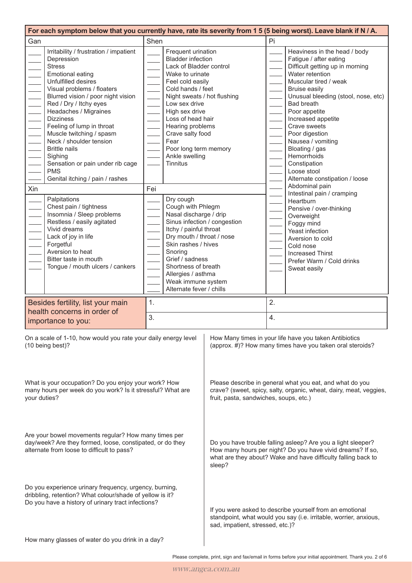| For each symptom below that you currently have, rate its severity from 1 5 (5 being worst). Leave blank if N / A.                                                        |                                                                                                                                                                                                                                                                                                                                                                                                                                                                                |                                                                                                                                                                   |                                                                                                                                                                                                                                                                                                                                                                                                                                                                                                                                                                                                                                            |                                                                                                                                |    |                                                                                                                                                                                                                                                                                                                                                                                                                                             |  |
|--------------------------------------------------------------------------------------------------------------------------------------------------------------------------|--------------------------------------------------------------------------------------------------------------------------------------------------------------------------------------------------------------------------------------------------------------------------------------------------------------------------------------------------------------------------------------------------------------------------------------------------------------------------------|-------------------------------------------------------------------------------------------------------------------------------------------------------------------|--------------------------------------------------------------------------------------------------------------------------------------------------------------------------------------------------------------------------------------------------------------------------------------------------------------------------------------------------------------------------------------------------------------------------------------------------------------------------------------------------------------------------------------------------------------------------------------------------------------------------------------------|--------------------------------------------------------------------------------------------------------------------------------|----|---------------------------------------------------------------------------------------------------------------------------------------------------------------------------------------------------------------------------------------------------------------------------------------------------------------------------------------------------------------------------------------------------------------------------------------------|--|
| Gan                                                                                                                                                                      |                                                                                                                                                                                                                                                                                                                                                                                                                                                                                | Shen                                                                                                                                                              |                                                                                                                                                                                                                                                                                                                                                                                                                                                                                                                                                                                                                                            |                                                                                                                                | Pi |                                                                                                                                                                                                                                                                                                                                                                                                                                             |  |
|                                                                                                                                                                          | Irritability / frustration / impatient<br>Depression<br><b>Stress</b><br><b>Emotional eating</b><br>Unfulfilled desires<br>Visual problems / floaters<br>Blurred vision / poor night vision<br>Red / Dry / Itchy eyes<br>Headaches / Migraines<br><b>Dizziness</b><br>Feeling of lump in throat<br>Muscle twitching / spasm<br>Neck / shoulder tension<br><b>Brittle nails</b><br>Sighing<br>Sensation or pain under rib cage<br><b>PMS</b><br>Genital itching / pain / rashes |                                                                                                                                                                   | Frequent urination<br><b>Bladder infection</b><br>Lack of Bladder control<br>Wake to urinate<br>Feel cold easily<br>Cold hands / feet<br>Night sweats / hot flushing<br>Low sex drive<br>High sex drive<br>Loss of head hair<br>Hearing problems<br>Crave salty food<br>Fear<br>Poor long term memory<br>Ankle swelling<br>Tinnitus<br>Dry cough<br>Cough with Phlegm<br>Nasal discharge / drip<br>Sinus infection / congestion<br>Itchy / painful throat<br>Dry mouth / throat / nose<br>Skin rashes / hives<br>Snoring<br>Grief / sadness<br>Shortness of breath<br>Allergies / asthma<br>Weak immune system<br>Alternate fever / chills |                                                                                                                                |    | Heaviness in the head / body<br>Fatigue / after eating<br>Difficult getting up in morning<br>Water retention<br>Muscular tired / weak<br><b>Bruise easily</b><br>Unusual bleeding (stool, nose, etc)<br><b>Bad breath</b><br>Poor appetite<br>Increased appetite<br>Crave sweets<br>Poor digestion<br>Nausea / vomiting<br>Bloating / gas<br>Hemorrhoids<br>Constipation<br>Loose stool<br>Alternate constipation / loose<br>Abdominal pain |  |
| Xin                                                                                                                                                                      | Palpitations<br>Chest pain / tightness<br>Insomnia / Sleep problems<br>Restless / easily agitated<br>Vivid dreams<br>Lack of joy in life<br>Forgetful<br>Aversion to heat<br>Bitter taste in mouth<br>Tongue / mouth ulcers / cankers                                                                                                                                                                                                                                          | Fei                                                                                                                                                               |                                                                                                                                                                                                                                                                                                                                                                                                                                                                                                                                                                                                                                            |                                                                                                                                |    | Intestinal pain / cramping<br>Heartburn<br>Pensive / over-thinking<br>Overweight<br>Foggy mind<br>Yeast infection<br>Aversion to cold<br>Cold nose<br><b>Increased Thirst</b><br>Prefer Warm / Cold drinks<br>Sweat easily                                                                                                                                                                                                                  |  |
|                                                                                                                                                                          | Besides fertility, list your main                                                                                                                                                                                                                                                                                                                                                                                                                                              | 1.                                                                                                                                                                |                                                                                                                                                                                                                                                                                                                                                                                                                                                                                                                                                                                                                                            |                                                                                                                                | 2. |                                                                                                                                                                                                                                                                                                                                                                                                                                             |  |
|                                                                                                                                                                          | health concerns in order of<br>importance to you:                                                                                                                                                                                                                                                                                                                                                                                                                              | 3.                                                                                                                                                                |                                                                                                                                                                                                                                                                                                                                                                                                                                                                                                                                                                                                                                            |                                                                                                                                | 4. |                                                                                                                                                                                                                                                                                                                                                                                                                                             |  |
|                                                                                                                                                                          | On a scale of 1-10, how would you rate your daily energy level $\vert$<br>(10 being best)?                                                                                                                                                                                                                                                                                                                                                                                     |                                                                                                                                                                   |                                                                                                                                                                                                                                                                                                                                                                                                                                                                                                                                                                                                                                            |                                                                                                                                |    | How Many times in your life have you taken Antibiotics<br>(approx. #)? How many times have you taken oral steroids?                                                                                                                                                                                                                                                                                                                         |  |
| What is your occupation? Do you enjoy your work? How<br>many hours per week do you work? Is it stressful? What are<br>your duties?                                       |                                                                                                                                                                                                                                                                                                                                                                                                                                                                                |                                                                                                                                                                   | fruit, pasta, sandwiches, soups, etc.)                                                                                                                                                                                                                                                                                                                                                                                                                                                                                                                                                                                                     | Please describe in general what you eat, and what do you<br>crave? (sweet, spicy, salty, organic, wheat, dairy, meat, veggies, |    |                                                                                                                                                                                                                                                                                                                                                                                                                                             |  |
| Are your bowel movements regular? How many times per<br>day/week? Are they formed, loose, constipated, or do they<br>alternate from loose to difficult to pass?          |                                                                                                                                                                                                                                                                                                                                                                                                                                                                                |                                                                                                                                                                   | Do you have trouble falling asleep? Are you a light sleeper?<br>How many hours per night? Do you have vivid dreams? If so,<br>what are they about? Wake and have difficulty falling back to<br>sleep?                                                                                                                                                                                                                                                                                                                                                                                                                                      |                                                                                                                                |    |                                                                                                                                                                                                                                                                                                                                                                                                                                             |  |
| Do you experience urinary frequency, urgency, burning,<br>dribbling, retention? What colour/shade of yellow is it?<br>Do you have a history of urinary tract infections? |                                                                                                                                                                                                                                                                                                                                                                                                                                                                                | If you were asked to describe yourself from an emotional<br>standpoint, what would you say (i.e. irritable, worrier, anxious,<br>sad, impatient, stressed, etc.)? |                                                                                                                                                                                                                                                                                                                                                                                                                                                                                                                                                                                                                                            |                                                                                                                                |    |                                                                                                                                                                                                                                                                                                                                                                                                                                             |  |
| How many glasses of water do you drink in a day?                                                                                                                         |                                                                                                                                                                                                                                                                                                                                                                                                                                                                                |                                                                                                                                                                   |                                                                                                                                                                                                                                                                                                                                                                                                                                                                                                                                                                                                                                            |                                                                                                                                |    |                                                                                                                                                                                                                                                                                                                                                                                                                                             |  |

Please complete, print, sign and fax/email in forms before your initial appointment. Thank you. 2 of 6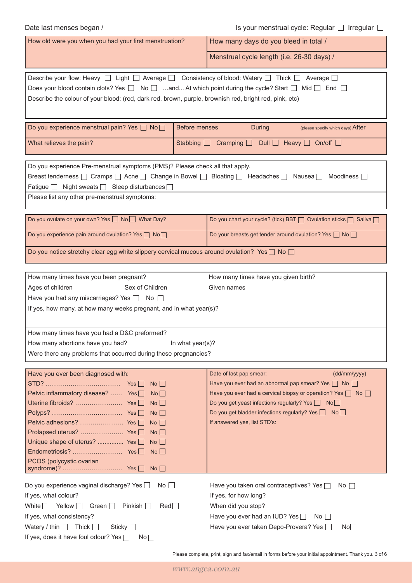Date last menses began /  $\Box$   $\Box$  Is your menstrual cycle: Regular  $\Box$  Irregular  $\Box$ 

| How old were you when you had your first menstruation?                                                                                                                                                                                                                                                                                                                      | How many days do you bleed in total /                                                                                                                                                                                                                                                                           |  |  |  |  |
|-----------------------------------------------------------------------------------------------------------------------------------------------------------------------------------------------------------------------------------------------------------------------------------------------------------------------------------------------------------------------------|-----------------------------------------------------------------------------------------------------------------------------------------------------------------------------------------------------------------------------------------------------------------------------------------------------------------|--|--|--|--|
|                                                                                                                                                                                                                                                                                                                                                                             | Menstrual cycle length (i.e. 26-30 days) /                                                                                                                                                                                                                                                                      |  |  |  |  |
| Describe your flow: Heavy $\Box$ Light $\Box$ Average $\Box$ Consistency of blood: Watery $\Box$ Thick $\Box$<br>Average $\square$<br>Does your blood contain clots? Yes $\Box$ No $\Box$ and At which point during the cycle? Start $\Box$ Mid $\Box$ End $\Box$<br>Describe the colour of your blood: (red, dark red, brown, purple, brownish red, bright red, pink, etc) |                                                                                                                                                                                                                                                                                                                 |  |  |  |  |
| Do you experience menstrual pain? Yes □ No□<br><b>Before menses</b>                                                                                                                                                                                                                                                                                                         | <b>During</b><br>(please specify which days) After                                                                                                                                                                                                                                                              |  |  |  |  |
| What relieves the pain?<br>Stabbing $\square$                                                                                                                                                                                                                                                                                                                               | Cramping $\Box$ Dull $\Box$ Heavy $\Box$ On/off $\Box$                                                                                                                                                                                                                                                          |  |  |  |  |
| Do you experience Pre-menstrual symptoms (PMS)? Please check all that apply.<br>Breast tenderness □ Cramps □ Acne □ Change in Bowel □ Bloating □ Headaches □ Nausea □<br>Moodiness $\Box$<br>Fatigue   Night sweats   Sleep disturbances  <br>Please list any other pre-menstrual symptoms:                                                                                 |                                                                                                                                                                                                                                                                                                                 |  |  |  |  |
| Do you ovulate on your own? Yes □ No □ What Day?                                                                                                                                                                                                                                                                                                                            | Do you chart your cycle? (tick) BBT   Ovulation sticks   Saliva                                                                                                                                                                                                                                                 |  |  |  |  |
| Do you experience pain around ovulation? Yes   No                                                                                                                                                                                                                                                                                                                           | Do your breasts get tender around ovulation? Yes □ No                                                                                                                                                                                                                                                           |  |  |  |  |
| Do you notice stretchy clear egg white slippery cervical mucous around ovulation? Yes $\Box$ No $\Box$                                                                                                                                                                                                                                                                      |                                                                                                                                                                                                                                                                                                                 |  |  |  |  |
| How many times have you been pregnant?<br>Ages of children<br>Sex of Children<br>Have you had any miscarriages? Yes a No<br>If yes, how many, at how many weeks pregnant, and in what year(s)?                                                                                                                                                                              | How many times have you given birth?<br>Given names                                                                                                                                                                                                                                                             |  |  |  |  |
| How many times have you had a D&C preformed?<br>How many abortions have you had?<br>In what year(s)?<br>Were there any problems that occurred during these pregnancies?                                                                                                                                                                                                     |                                                                                                                                                                                                                                                                                                                 |  |  |  |  |
| Have you ever been diagnosed with:<br>$No$    <br>Pelvic inflammatory disease?  Yes□<br>No<br>No<br>$No$    <br>$No \Box$<br>Prolapsed uterus?  Yes □<br>$No \Box$<br>Unique shape of uterus?  Yes $\Box$<br>No<br>No<br>PCOS (polycystic ovarian<br>No                                                                                                                     | Date of last pap smear:<br>(dd/mm/yyyy)<br>Have you ever had an abnormal pap smear? Yes   No<br>Have you ever had a cervical biopsy or operation? Yes   No<br>Do you get yeast infections regularly? Yes □ No□<br>Do you get bladder infections regularly? Yes $\Box$ No $\Box$<br>If answered yes, list STD's: |  |  |  |  |
| Do you experience vaginal discharge? Yes $\Box$<br>No<br>If yes, what colour?<br>White $\Box$ Yellow $\Box$<br>$\mathsf{Red}\square$<br>Green $\Box$<br>Pinkish $\Box$<br>If yes, what consistency?<br>Watery / thin $\Box$<br>Thick $\Box$<br>Sticky $\Box$<br>If yes, does it have foul odour? Yes $\Box$<br>No <sub>1</sub>                                              | Have you taken oral contraceptives? Yes $\Box$<br>$No \BoxIf yes, for how long?When did you stop?Have you ever had an IUD? YesNo    Have you ever taken Depo-Provera? Yes [No$                                                                                                                                  |  |  |  |  |

Please complete, print, sign and fax/email in forms before your initial appointment. Thank you. 3 of 6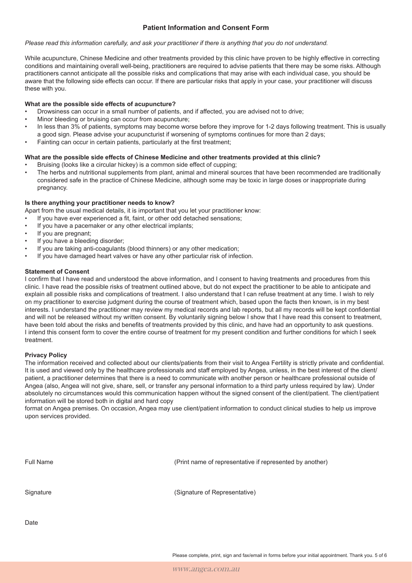## **Patient Information and Consent Form**

#### *Please read this information carefully, and ask your practitioner if there is anything that you do not understand.*

While acupuncture, Chinese Medicine and other treatments provided by this clinic have proven to be highly effective in correcting conditions and maintaining overall well-being, practitioners are required to advise patients that there may be some risks. Although practitioners cannot anticipate all the possible risks and complications that may arise with each individual case, you should be aware that the following side effects can occur. If there are particular risks that apply in your case, your practitioner will discuss these with you.

### **What are the possible side effects of acupuncture?**

- Drowsiness can occur in a small number of patients, and if affected, you are advised not to drive;
- Minor bleeding or bruising can occur from acupuncture;
- In less than 3% of patients, symptoms may become worse before they improve for 1-2 days following treatment. This is usually a good sign. Please advise your acupuncturist if worsening of symptoms continues for more than 2 days;
- Fainting can occur in certain patients, particularly at the first treatment:

#### **What are the possible side effects of Chinese Medicine and other treatments provided at this clinic?**

- Bruising (looks like a circular hickey) is a common side effect of cupping;
- The herbs and nutritional supplements from plant, animal and mineral sources that have been recommended are traditionally considered safe in the practice of Chinese Medicine, although some may be toxic in large doses or inappropriate during pregnancy.

#### **Is there anything your practitioner needs to know?**

Apart from the usual medical details, it is important that you let your practitioner know:

- If you have eyer experienced a fit, faint, or other odd detached sensations:
- If you have a pacemaker or any other electrical implants;
- If you are pregnant:
- If you have a bleeding disorder:
- If you are taking anti-coagulants (blood thinners) or any other medication;
- If you have damaged heart valves or have any other particular risk of infection.

#### **Statement of Consent**

I confirm that I have read and understood the above information, and I consent to having treatments and procedures from this clinic. I have read the possible risks of treatment outlined above, but do not expect the practitioner to be able to anticipate and explain all possible risks and complications of treatment. I also understand that I can refuse treatment at any time. I wish to rely on my practitioner to exercise judgment during the course of treatment which, based upon the facts then known, is in my best interests. I understand the practitioner may review my medical records and lab reports, but all my records will be kept confidential and will not be released without my written consent. By voluntarily signing below I show that I have read this consent to treatment, haye been told about the risks and benefits of treatments provided by this clinic, and haye had an opportunity to ask questions. I intend this consent form to cover the entire course of treatment for my present condition and further conditions for which I seek treatment.

#### **Privacy Policy**

The information received and collected about our clients/patients from their visit to Angea Fertility is strictly private and confidential. It is used and viewed only by the healthcare professionals and staff employed by Angea, unless, in the best interest of the client/ patient, a practitioner determines that there is a need to communicate with another person or healthcare professional outside of Angea (also, Angea will not give, share, sell, or transfer any personal information to a third party unless required by law). Under absolutely no circumstances would this communication happen without the signed consent of the client/patient. The client/patient information will be stored both in digital and hard copy

format on Angea premises. On occasion, Angea may use client/patient information to conduct clinical studies to help us improve upon services provided.

| Full Name | (Print name of representative if represented by another) |
|-----------|----------------------------------------------------------|
| Signature | (Signature of Representative)                            |

**Date** 

Please complete, print, sign and fax/email in forms before your initial appointment. Thank you. 5 of 6